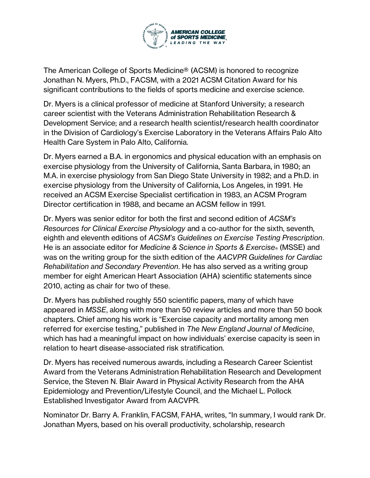

The American College of Sports Medicine® (ACSM) is honored to recognize Jonathan N. Myers, Ph.D., FACSM, with a 2021 ACSM Citation Award for his significant contributions to the fields of sports medicine and exercise science.

Dr. Myers is a clinical professor of medicine at Stanford University; a research career scientist with the Veterans Administration Rehabilitation Research & Development Service; and a research health scientist/research health coordinator in the Division of Cardiology's Exercise Laboratory in the Veterans Affairs Palo Alto Health Care System in Palo Alto, California.

Dr. Myers earned a B.A. in ergonomics and physical education with an emphasis on exercise physiology from the University of California, Santa Barbara, in 1980; an M.A. in exercise physiology from San Diego State University in 1982; and a Ph.D. in exercise physiology from the University of California, Los Angeles, in 1991. He received an ACSM Exercise Specialist certification in 1983, an ACSM Program Director certification in 1988, and became an ACSM fellow in 1991.

Dr. Myers was senior editor for both the first and second edition of *ACSM's Resources for Clinical Exercise Physiology* and a co-author for the sixth, seventh, eighth and eleventh editions of *ACSM's Guidelines on Exercise Testing Prescription*. He is an associate editor for *Medicine & Science in Sports & Exercise®* (MSSE) and was on the writing group for the sixth edition of the *AACVPR Guidelines for Cardiac Rehabilitation and Secondary Prevention*. He has also served as a writing group member for eight American Heart Association (AHA) scientific statements since 2010, acting as chair for two of these.

Dr. Myers has published roughly 550 scientific papers, many of which have appeared in *MSSE*, along with more than 50 review articles and more than 50 book chapters. Chief among his work is "Exercise capacity and mortality among men referred for exercise testing," published in *The New England Journal of Medicine*, which has had a meaningful impact on how individuals' exercise capacity is seen in relation to heart disease-associated risk stratification.

Dr. Myers has received numerous awards, including a Research Career Scientist Award from the Veterans Administration Rehabilitation Research and Development Service, the Steven N. Blair Award in Physical Activity Research from the AHA Epidemiology and Prevention/Lifestyle Council, and the Michael L. Pollock Established Investigator Award from AACVPR.

Nominator Dr. Barry A. Franklin, FACSM, FAHA, writes, "In summary, I would rank Dr. Jonathan Myers, based on his overall productivity, scholarship, research